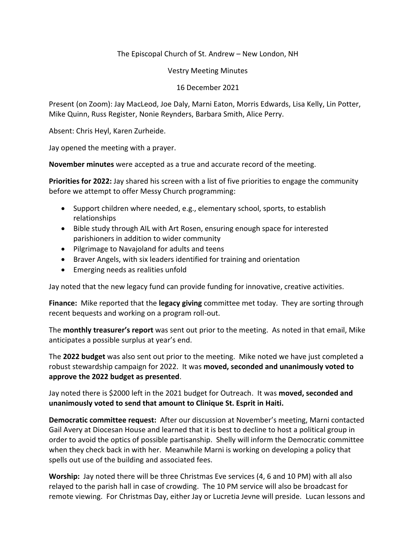## The Episcopal Church of St. Andrew – New London, NH

Vestry Meeting Minutes

## 16 December 2021

Present (on Zoom): Jay MacLeod, Joe Daly, Marni Eaton, Morris Edwards, Lisa Kelly, Lin Potter, Mike Quinn, Russ Register, Nonie Reynders, Barbara Smith, Alice Perry.

Absent: Chris Heyl, Karen Zurheide.

Jay opened the meeting with a prayer.

**November minutes** were accepted as a true and accurate record of the meeting.

**Priorities for 2022:** Jay shared his screen with a list of five priorities to engage the community before we attempt to offer Messy Church programming:

- Support children where needed, e.g., elementary school, sports, to establish relationships
- Bible study through AIL with Art Rosen, ensuring enough space for interested parishioners in addition to wider community
- Pilgrimage to Navajoland for adults and teens
- Braver Angels, with six leaders identified for training and orientation
- Emerging needs as realities unfold

Jay noted that the new legacy fund can provide funding for innovative, creative activities.

**Finance:** Mike reported that the **legacy giving** committee met today. They are sorting through recent bequests and working on a program roll-out.

The **monthly treasurer's report** was sent out prior to the meeting. As noted in that email, Mike anticipates a possible surplus at year's end.

The **2022 budget** was also sent out prior to the meeting. Mike noted we have just completed a robust stewardship campaign for 2022. It was **moved, seconded and unanimously voted to approve the 2022 budget as presented**.

Jay noted there is \$2000 left in the 2021 budget for Outreach. It was **moved, seconded and unanimously voted to send that amount to Clinique St. Esprit in Haiti.**

**Democratic committee request:** After our discussion at November's meeting, Marni contacted Gail Avery at Diocesan House and learned that it is best to decline to host a political group in order to avoid the optics of possible partisanship. Shelly will inform the Democratic committee when they check back in with her. Meanwhile Marni is working on developing a policy that spells out use of the building and associated fees.

**Worship:** Jay noted there will be three Christmas Eve services (4, 6 and 10 PM) with all also relayed to the parish hall in case of crowding. The 10 PM service will also be broadcast for remote viewing. For Christmas Day, either Jay or Lucretia Jevne will preside. Lucan lessons and